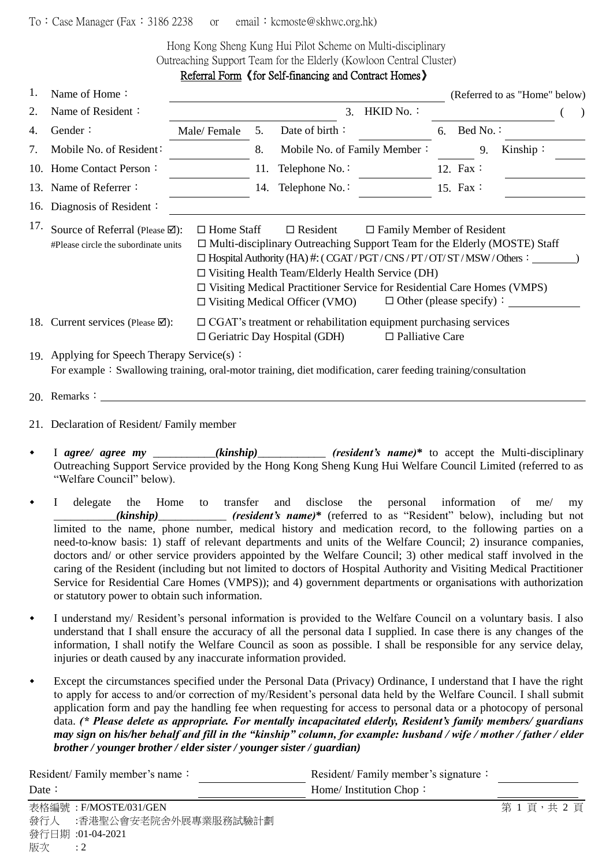## To: Case Manager (Fax: 3186 2238 or email: kcmoste@skhwc.org.hk)

Hong Kong Sheng Kung Hui Pilot Scheme on Multi-disciplinary Outreaching Support Team for the Elderly (Kowloon Central Cluster) Referral Form 《for Self-financing and Contract Homes》

| 1.  | Name of Home:                                                                                                                                                                                                                                                                                                                                                                                                                                                                                                                          |                                                                                                               |     |                                                                                                                |                        |    |          | (Referred to as "Home" below) |  |
|-----|----------------------------------------------------------------------------------------------------------------------------------------------------------------------------------------------------------------------------------------------------------------------------------------------------------------------------------------------------------------------------------------------------------------------------------------------------------------------------------------------------------------------------------------|---------------------------------------------------------------------------------------------------------------|-----|----------------------------------------------------------------------------------------------------------------|------------------------|----|----------|-------------------------------|--|
| 2.  | Name of Resident:                                                                                                                                                                                                                                                                                                                                                                                                                                                                                                                      |                                                                                                               |     | 3.                                                                                                             | HKID No.:              |    |          |                               |  |
| 4.  | Gender:                                                                                                                                                                                                                                                                                                                                                                                                                                                                                                                                | Male/Female                                                                                                   | 5.  | Date of birth:                                                                                                 |                        | 6. | Bed No.: |                               |  |
| 7.  | Mobile No. of Resident:                                                                                                                                                                                                                                                                                                                                                                                                                                                                                                                |                                                                                                               | 8.  | Mobile No. of Family Member:                                                                                   |                        |    | 9.       | Kinship:                      |  |
|     | 10. Home Contact Person:                                                                                                                                                                                                                                                                                                                                                                                                                                                                                                               |                                                                                                               | 11. | Telephone No.:                                                                                                 |                        |    | 12. Fax: |                               |  |
|     | 13. Name of Referrer:                                                                                                                                                                                                                                                                                                                                                                                                                                                                                                                  |                                                                                                               | 14. | Telephone No.:                                                                                                 |                        |    | 15. Fax: |                               |  |
|     | 16. Diagnosis of Resident:                                                                                                                                                                                                                                                                                                                                                                                                                                                                                                             |                                                                                                               |     |                                                                                                                |                        |    |          |                               |  |
| 17. | Source of Referral (Please ⊠):<br>$\Box$ Home Staff<br>$\Box$ Resident<br>$\Box$ Family Member of Resident<br>$\Box$ Multi-disciplinary Outreaching Support Team for the Elderly (MOSTE) Staff<br>#Please circle the subordinate units<br>$\Box$ Hospital Authority (HA) #: (CGAT/PGT/CNS/PT/OT/ST/MSW/Others:<br>$\Box$ Visiting Health Team/Elderly Health Service (DH)<br>$\Box$ Visiting Medical Practitioner Service for Residential Care Homes (VMPS)<br>$\Box$ Other (please specify):<br>$\Box$ Visiting Medical Officer (VMO) |                                                                                                               |     |                                                                                                                |                        |    |          |                               |  |
|     | 18. Current services (Please ⊠):                                                                                                                                                                                                                                                                                                                                                                                                                                                                                                       |                                                                                                               |     | $\Box$ CGAT's treatment or rehabilitation equipment purchasing services<br>$\Box$ Geriatric Day Hospital (GDH) | $\Box$ Palliative Care |    |          |                               |  |
|     | 19. Applying for Speech Therapy Service(s):                                                                                                                                                                                                                                                                                                                                                                                                                                                                                            | For example: Swallowing training, oral-motor training, diet modification, carer feeding training/consultation |     |                                                                                                                |                        |    |          |                               |  |

- 20. Remarks:
- 21. Declaration of Resident/ Family member
- I *agree/ agree my (kinship)* (*resident's name*)<sup>\*</sup> to accept the Multi-disciplinary Outreaching Support Service provided by the Hong Kong Sheng Kung Hui Welfare Council Limited (referred to as "Welfare Council" below).
- I delegate the Home to transfer and disclose the personal information of me/ my \_\_\_\_\_\_\_\_\_\_\_*(kinship)*\_\_\_\_\_\_\_\_\_\_\_\_ *(resident's name)***\*** (referred to as "Resident" below), including but not limited to the name, phone number, medical history and medication record, to the following parties on a need-to-know basis: 1) staff of relevant departments and units of the Welfare Council; 2) insurance companies, doctors and/ or other service providers appointed by the Welfare Council; 3) other medical staff involved in the caring of the Resident (including but not limited to doctors of Hospital Authority and Visiting Medical Practitioner Service for Residential Care Homes (VMPS)); and 4) government departments or organisations with authorization or statutory power to obtain such information.
- I understand my/ Resident's personal information is provided to the Welfare Council on a voluntary basis. I also understand that I shall ensure the accuracy of all the personal data I supplied. In case there is any changes of the information, I shall notify the Welfare Council as soon as possible. I shall be responsible for any service delay, injuries or death caused by any inaccurate information provided.
- Except the circumstances specified under the Personal Data (Privacy) Ordinance, I understand that I have the right to apply for access to and/or correction of my/Resident's personal data held by the Welfare Council. I shall submit application form and pay the handling fee when requesting for access to personal data or a photocopy of personal data. *(\* Please delete as appropriate. For mentally incapacitated elderly, Resident's family members/ guardians may sign on his/her behalf and fill in the "kinship" column, for example: husband / wife / mother / father / elder brother / younger brother / elder sister / younger sister / guardian)*

| Resident/Family member's name: |                          | Resident/Family member's signature: |         |
|--------------------------------|--------------------------|-------------------------------------|---------|
| Date $\colon$                  |                          | Home/ Institution Chop:             |         |
|                                | 表格編號: F/MOSTE/031/GEN    |                                     | 第1頁,共2頁 |
|                                | 發行人 :香港聖公會安老院舍外展專業服務試驗計劃 |                                     |         |
|                                | 發行日期:01-04-2021          |                                     |         |
| 版次                             | $\therefore$ 2           |                                     |         |